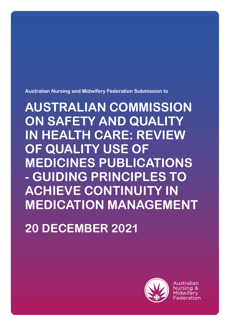**Australian Nursing and Midwifery Federation Submission to** 

**AUSTRALIAN COMMISSION ON SAFETY AND QUALITY IN HEALTH CARE: REVIEW OF QUALITY USE OF MEDICINES PUBLICATIONS - GUIDING PRINCIPLES TO ACHIEVE CONTINUITY IN MEDICATION MANAGEMENT**

**20 DECEMBER 2021**

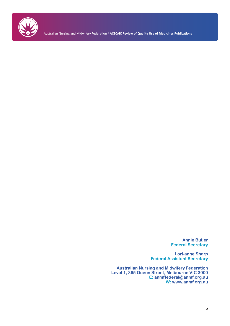

Australian Nursing and Midwifery Federation / **ACSQHC Review of Quality Use of Medicines Publications** 

**Annie Butler Federal Secretary**

**Lori-anne Sharp Federal Assistant Secretary**

**Australian Nursing and Midwifery Federation Level 1, 365 Queen Street, Melbourne VIC 3000 E: anmffederal@anmf.org.au W: www.anmf.org.au**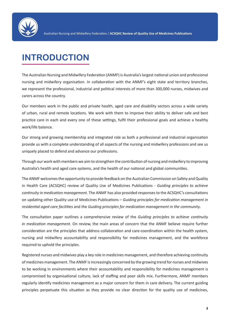

# **INTRODUCTION**

The Australian Nursing and Midwifery Federation (ANMF) is Australia's largest national union and professional nursing and midwifery organisation. In collaboration with the ANMF's eight state and territory branches, we represent the professional, industrial and political interests of more than 300,000 nurses, midwives and carers across the country.

Our members work in the public and private health, aged care and disability sectors across a wide variety of urban, rural and remote locations. We work with them to improve their ability to deliver safe and best practice care in each and every one of these settings, fulfil their professional goals and achieve a healthy work/life balance.

Our strong and growing membership and integrated role as both a professional and industrial organisation provide us with a complete understanding of all aspects of the nursing and midwifery professions and see us uniquely placed to defend and advance our professions.

Through our work with members we aim to strengthen the contribution of nursing and midwifery to improving Australia's health and aged care systems, and the health of our national and global communities.

The ANMF welcomes the opportunity to provide feedback on the Australian Commission on Safety and Quality in Health Care (ACSQHC) review of Quality Use of Medicines Publications - *Guiding principles to achieve continuity in medication management*. The ANMF has also provided responses to the ACSQHC's consultations on updating other Quality use of Medicines Publications – *Guiding principles for medication management in residential aged care facilities* and the *Guiding principles for medication management in the community*.

The consultation paper outlines a comprehensive review of the *Guiding principles to achieve continuity in medication management*. On review, the main areas of concern that the ANMF believe require further consideration are the principles that address collaboration and care-coordination within the health system, nursing and midwifery accountability and responsibility for medicines management, and the workforce required to uphold the principles.

Registered nurses and midwives play a key role in medicines management, and therefore achieving continuity of medicines management. The ANMF is increasingly concerned by the growing trend for nurses and midwives to be working in environments where their accountability and responsibility for medicines management is compromised by organisational culture, lack of staffing and poor skills mix. Furthermore, ANMF members regularly identify medicines management as a major concern for them in care delivery. The current guiding principles perpetuate this situation as they provide no clear direction for the quality use of medicines,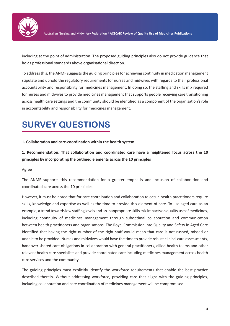

including at the point of administration. The proposed guiding principles also do not provide guidance that holds professional standards above organisational direction.

To address this, the ANMF suggests the guiding principles for achieving continuity in medication management stipulate and uphold the regulatory requirements for nurses and midwives with regards to their professional accountability and responsibility for medicines management. In doing so, the staffing and skills mix required for nurses and midwives to provide medicines management that supports people receiving care transitioning across health care settings and the community should be identified as a component of the organisation's role in accountability and responsibility for medicines management.

# **SURVEY QUESTIONS**

### **1. Collaboration and care-coordination within the health system**

**1. Recommendation: That collaboration and coordinated care have a heightened focus across the 10 principles by incorporating the outlined elements across the 10 principles**

#### Agree

The ANMF supports this recommendation for a greater emphasis and inclusion of collaboration and coordinated care across the 10 principles.

However, it must be noted that for care coordination and collaboration to occur, health practitioners require skills, knowledge and expertise as well as the time to provide this element of care. To use aged care as an example, a trend towards low staffing levels and an inappropriate skills mix impacts on quality use of medicines, including continuity of medicines management through suboptimal collaboration and communication between health practitioners and organisations. The Royal Commission into Quality and Safety in Aged Care identified that having the right number of the right staff would mean that care is not rushed, missed or unable to be provided. Nurses and midwives would have the time to provide robust clinical care assessments, handover shared care obligations in collaboration with general practitioners, allied health teams and other relevant health care specialists and provide coordinated care including medicines management across health care services and the community.

The guiding principles must explicitly identify the workforce requirements that enable the best practice described therein. Without addressing workforce, providing care that aligns with the guiding principles, including collaboration and care coordination of medicines management will be compromised.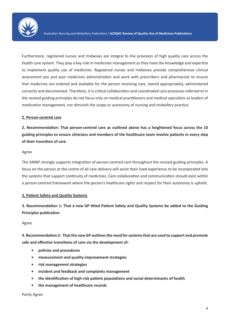

Furthermore, registered nurses and midwives are integral to the provision of high quality care across the health care system. They play a key role in medicines management as they have the knowledge and expertise to implement quality use of medicines. Registered nurses and midwives provide comprehensive clinical assessment pre and post medicines administration and work with prescribers and pharmacists to ensure that medicines are ordered and available for the person receiving care, stored appropriately, administered correctly and documented. Therefore, it is critical collaboration and coordinated care processes referred to in the revised guiding principles do not focus only on medical practitioners and medical specialists as leaders of medication management, nor diminish the scope or autonomy of nursing and midwifery practice.

#### **2. Person-centred care**

**2. Recommendation: That person-centred care as outlined above has a heightened focus across the 10 guiding principles to ensure clinicians and members of the healthcare team involve patients in every step of their transition of care**

#### Agree

The ANMF strongly supports integration of person-centred care throughout the revised guiding principles. A focus on the person at the centre of all care delivery will assist their lived experience to be incorporated into the systems that support continuity of medicines. Care collaboration and communication should exist within a person-centred framework where the person's healthcare rights and respect for their autonomy is upheld.

#### **3. Patient Safety and Quality Systems**

**3. Recommendation 1: That a new GP titled Patient Safety and Quality Systems be added to the Guiding Principles publication**

#### Agree

**4. Recommendation 2: That the new GP outlines the need for systems that are used to support and promote safe and effective transitions of care via the development of:**

- **• policies and procedures**
- **• measurement and quality improvement strategies**
- **• risk management strategies**
- **• incident and feedback and complaints management**
- **• the identification of high-risk patient populations and social determinants of health**
- **• the management of healthcare records**

#### Partly Agree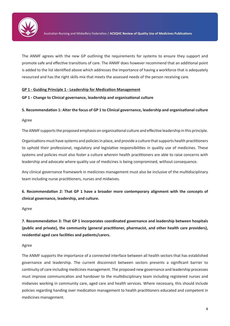

The ANMF agrees with the new GP outlining the requirements for systems to ensure they support and promote safe and effective transitions of care. The ANMF does however recommend that an additional point is added to the list identified above which addresses the importance of having a workforce that is adequately resourced and has the right skills mix that meets the assessed needs of the person receiving care.

### **GP 1 - Guiding Principle 1 - Leadership for Medication Management**

### **GP 1 - Change to Clinical governance, leadership and organisational culture**

### **5. Recommendation 1: Alter the focus of GP 1 to Clinical governance, leadership and organisational culture**

Agree

The ANMF supports the proposed emphasis on organisational culture and effective leadership in this principle.

Organisations must have systems and policies in place, and provide a culture that supports health practitioners to uphold their professional, regulatory and legislative responsibilities in quality use of medicines. These systems and policies must also foster a culture wherein health practitioners are able to raise concerns with leadership and advocate where quality use of medicines is being compromised, without consequence.

Any clinical governance framework in medicines management must also be inclusive of the multidisciplinary team including nurse practitioners, nurses and midwives.

**6. Recommendation 2: That GP 1 have a broader more contemporary alignment with the concepts of clinical governance, leadership, and culture.**

#### Agree

**7. Recommendation 3: That GP 1 incorporates coordinated governance and leadership between hospitals (public and private), the community (general practitioner, pharmacist, and other health care providers), residential aged care facilities and patients/carers.**

#### Agree

The ANMF supports the importance of a connected interface between all health sectors that has established governance and leadership. The current disconnect between sectors presents a significant barrier to continuity of care including medicines management. The proposed new governance and leadership processes must improve communication and handover to the multidisciplinary team including registered nurses and midwives working in community care, aged care and health services. Where necessary, this should include policies regarding handing over medication management to health practitioners educated and competent in medicines management.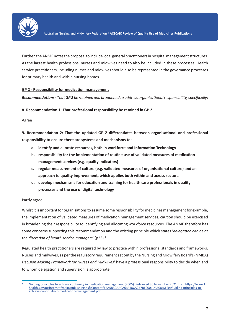

Further, the ANMF notes the proposal to include local general practitioners in hospital management structures. As the largest health professions, nurses and midwives need to also be included in these processes. Health service practitioners, including nurses and midwives should also be represented in the governance processes for primary health and within nursing homes.

### **GP 2 - Responsibility for medication management**

*Recommendations: That GP 2 be retained and broadened to address organisational responsibility, specifically*:

**8. Recommendation 1: That professional responsibility be retained in GP 2**

Agree

**9. Recommendation 2: That the updated GP 2 differentiates between organisational and professional responsibility to ensure there are systems and mechanisms to:**

- **a. identify and allocate resources, both in workforce and Information Technology**
- **b. responsibility for the implementation of routine use of validated measures of medication management services (e.g. quality indicators)**
- **c. regular measurement of culture (e.g. validated measures of organisational culture) and an approach to quality improvement, which applies both within and across sectors.**
- **d. develop mechanisms for education and training for health care professionals in quality processes and the use of digital technology**

### Partly agree

Whilst it is important for organisations to assume some responsibility for medicines management for example, the implementation of validated measures of medication management services, caution should be exercised in broadening their responsibility to identifying and allocating workforce resources. The ANMF therefore has some concerns supporting this recommendation and the existing principle which states '*delegation can be at the discretion of health service managers*' (p23).1

Regulated health practitioners are required by law to practice within professional standards and frameworks. Nurses and midwives, as per the regulatory requirement set out by the Nursing and Midwifery Board's (NMBA) *Decision Making Framework for Nurses and Midwives<sup>2</sup>* have a professional responsibility to decide when and to whom delegation and supervision is appropriate.

<sup>1.</sup> Guiding principles to achieve continuity in medication management (2005). Retrieved 30 November 2021 from https://www1. health.gov.au/internet/main/publishing.nsf/Content/EEA5B39AA0A63F18CA257BF0001DAE08/\$File/Guiding-principles-toachieve-continuity-in-medication-management.pdf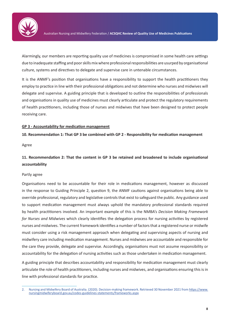

Alarmingly, our members are reporting quality use of medicines is compromised in some health care settings due to inadequate staffing and poor skills mix where professional responsibilities are usurped by organisational culture, systems and directives to delegate and supervise care in untenable circumstances.

It is the ANMF's position that organisations have a responsibility to support the health practitioners they employ to practice in line with their professional obligations and not determine who nurses and midwives will delegate and supervise. A guiding principle that is developed to outline the responsibilities of professionals and organisations in quality use of medicines must clearly articulate and protect the regulatory requirements of health practitioners, including those of nurses and midwives that have been designed to protect people receiving care.

### **GP 3 - Accountability for medication management**

### **10. Recommendation 1: That GP 3 be combined with GP 2 - Responsibility for medication management**

Agree

# **11. Recommendation 2: That the content in GP 3 be retained and broadened to include organisational accountability**

### Partly agree

Organisations need to be accountable for their role in medications management, however as discussed in the response to Guiding Principle 2, question 9, the ANMF cautions against organisations being able to override professional, regulatory and legislative controls that exist to safeguard the public. Any guidance used to support medication management must always uphold the mandatory professional standards required by health practitioners involved. An important example of this is the NMBA's *Decision Making Framework for Nurses and Midwives* which clearly identifies the delegation process for nursing activities by registered nurses and midwives. The current framework identifies a number of factors that a registered nurse or midwife must consider using a risk management approach when delegating and supervising aspects of nursing and midwifery care including medication management. Nurses and midwives are accountable and responsible for the care they provide, delegate and supervise. Accordingly, organisations must not assume responsibility or accountability for the delegation of nursing activities such as those undertaken in medication management.

A guiding principle that describes accountability and responsibility for medication management must clearly articulate the role of health practitioners, including nurses and midwives, and organisations ensuring this is in line with professional standards for practice.

<sup>2.</sup> Nursing and Midwifery Board of Australia. (2020). Decision-making framework. Retrieved 30 November 2021 from https://www. nursingmidwiferyboard.gov.au/codes-guidelines-statements/frameworks.aspx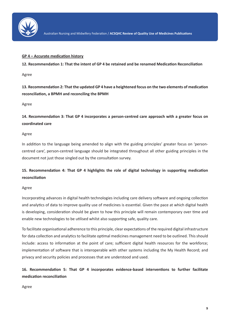

### **GP 4 – Accurate medication history**

**12. Recommendation 1: That the intent of GP 4 be retained and be renamed Medication Reconciliation**

Agree

**13. Recommendation 2: That the updated GP 4 have a heightened focus on the two elements of medication reconciliation, a BPMH and reconciling the BPMH**

Agree

**14. Recommendation 3: That GP 4 incorporates a person-centred care approach with a greater focus on coordinated care**

### Agree

In addition to the language being amended to align with the guiding principles' greater focus on 'personcentred care', person-centred language should be integrated throughout all other guiding principles in the document not just those singled out by the consultation survey.

# **15. Recommendation 4: That GP 4 highlights the role of digital technology in supporting medication reconciliation**

### Agree

Incorporating advances in digital health technologies including care delivery software and ongoing collection and analytics of data to improve quality use of medicines is essential. Given the pace at which digital health is developing, consideration should be given to how this principle will remain contemporary over time and enable new technologies to be utilised whilst also supporting safe, quality care.

To facilitate organisational adherence to this principle, clear expectations of the required digital infrastructure for data collection and analytics to facilitate optimal medicines management need to be outlined. This should include: access to information at the point of care; sufficient digital health resources for the workforce; implementation of software that is interoperable with other systems including the My Health Record; and privacy and security policies and processes that are understood and used.

**16. Recommendation 5: That GP 4 incorporates evidence-based interventions to further facilitate medication reconciliation**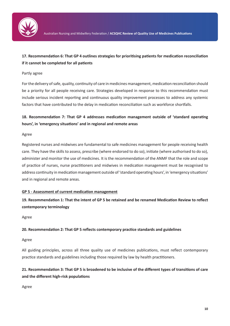

# **17. Recommendation 6: That GP 4 outlines strategies for prioritising patients for medication reconciliation if it cannot be completed for all patients**

### Partly agree

For the delivery of safe, quality, continuity of care in medicines management, medication reconciliation should be a priority for all people receiving care. Strategies developed in response to this recommendation must include serious incident reporting and continuous quality improvement processes to address any systemic factors that have contributed to the delay in medication reconciliation such as workforce shortfalls.

# **18. Recommendation 7: That GP 4 addresses medication management outside of 'standard operating hours', in 'emergency situations' and in regional and remote areas**

### Agree

Registered nurses and midwives are fundamental to safe medicines management for people receiving health care. They have the skills to assess, prescribe (where endorsed to do so), initiate (where authorised to do so), administer and monitor the use of medicines. It is the recommendation of the ANMF that the role and scope of practice of nurses, nurse practitioners and midwives in medication management must be recognised to address continuity in medication management outside of 'standard operating hours', in 'emergency situations' and in regional and remote areas.

## **GP 5 - Assessment of current medication management**

**19. Recommendation 1: That the intent of GP 5 be retained and be renamed Medication Review to reflect contemporary terminology**

Agree

## **20. Recommendation 2: That GP 5 reflects contemporary practice standards and guidelines**

### Agree

All guiding principles, across all three quality use of medicines publications, must reflect contemporary practice standards and guidelines including those required by law by health practitioners.

# **21. Recommendation 3: That GP 5 is broadened to be inclusive of the different types of transitions of care and the different high-risk populations**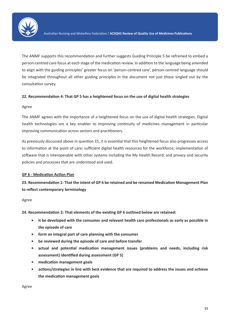

The ANMF supports this recommendation and further suggests Guiding Principle 5 be reframed to embed a person-centred care focus at each stage of the medication review. In addition to the language being amended to align with the guiding principles' greater focus on 'person-centred care', person-centred language should be integrated throughout all other guiding principles in the document not just those singled out by the consultation survey.

### **22. Recommendation 4: That GP 5 has a heightened focus on the use of digital health strategies**

### Agree

The ANMF agrees with the importance of a heightened focus on the use of digital health strategies. Digital health technologies are a key enabler to improving continuity of medicines management in particular improving communication across sectors and practitioners.

As previously discussed above in question 15, it is essential that this heightened focus also progresses access to information at the point of care; sufficient digital health resources for the workforce; implementation of software that is interoperable with other systems including the My Health Record; and privacy and security policies and processes that are understood and used.

## **GP 6 - Medication Action Plan**

**23. Recommendation 1: That the intent of GP 6 be retained and be renamed Medication Management Plan to reflect contemporary terminology**

### Agree

**24. Recommendation 2: That elements of the existing GP 6 outlined below are retained:** 

- **• it be developed with the consumer and relevant health care professionals as early as possible in the episode of care**
- **• form an integral part of care planning with the consumer**
- **• be reviewed during the episode of care and before transfer**
- **• actual and potential medication management issues (problems and needs, including risk assessment) identified during assessment (GP 5)**
- **• medication management goals**
- **• actions/strategies in line with best evidence that are required to address the issues and achieve the medication management goals**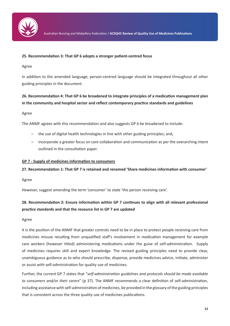

### **25. Recommendation 3: That GP 6 adopts a stronger patient-centred focus**

Agree

In addition to the amended language, person-centred language should be integrated throughout all other guiding principles in the document.

# **26. Recommendation 4: That GP 6 be broadened to integrate principles of a medication management plan in the community and hospital sector and reflect contemporary practice standards and guidelines**

### Agree

The ANMF agrees with this recommendation and also suggests GP 6 be broadened to include:

- the use of digital health technologies in line with other guiding principles; and,
- incorporate a greater focus on care collaboration and communication as per the overarching intent outlined in the consultation paper.

### **GP 7 - Supply of medicines information to consumers**

## **27. Recommendation 1: That GP 7 is retained and renamed 'Share medicines information with consumer'**

Agree

However, suggest amending the term 'consumer' to state 'the person receiving care'.

# **28. Recommendation 2: Ensure information within GP 7 continues to align with all relevant professional practice standards and that the resource list in GP 7 are updated**

### Agree

It is the position of the ANMF that greater controls need to be in place to protect people receiving care from medicines misuse resulting from unqualified staff's involvement in medication management for example care workers (however titled) administering medications under the guise of self-administration. Supply of medicines requires skill and expert knowledge. The revised guiding principles need to provide clear, unambiguous guidance as to who should prescribe, dispense, provide medicines advice, initiate, administer or assist with self-administration for quality use of medicines.

Further, the current GP 7 states that "*self-administration guidelines and protocols should be made available to consumers and/or their carers*" (p 37). The ANMF recommends a clear definition of self-administration, including assistance with self-administration of medicines, be provided in the glossary of the guiding principles that is consistent across the three quality use of medicines publications.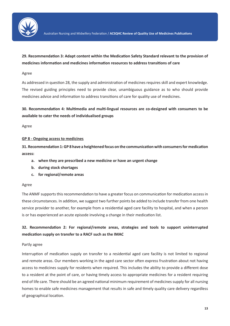

# **29. Recommendation 3: Adapt content within the Medication Safety Standard relevant to the provision of medicines information and medicines information resources to address transitions of care**

### Agree

As addressed in question 28, the supply and administration of medicines requires skill and expert knowledge. The revised guiding principles need to provide clear, unambiguous guidance as to who should provide medicines advice and information to address transitions of care for quality use of medicines.

# **30. Recommendation 4: Multimedia and multi-lingual resources are co-designed with consumers to be available to cater the needs of individualised groups**

Agree

### **GP 8 - Ongoing access to medicines**

**31. Recommendation 1: GP 8 have a heightened focus on the communication with consumers for medication access:**

- **a. when they are prescribed a new medicine or have an urgent change**
- **b. during stock shortages**
- **c. for regional/remote areas**

### Agree

The ANMF supports this recommendation to have a greater focus on communication for medication access in these circumstances. In addition, we suggest two further points be added to include transfer from one health service provider to another, for example from a residential aged care facility to hospital, and when a person is or has experienced an acute episode involving a change in their medication list.

# **32. Recommendation 2: For regional/remote areas, strategies and tools to support uninterrupted medication supply on transfer to a RACF such as the IMAC**

### Partly agree

Interruption of medication supply on transfer to a residential aged care facility is not limited to regional and remote areas. Our members working in the aged care sector often express frustration about not having access to medicines supply for residents when required. This includes the ability to provide a different dose to a resident at the point of care, or having timely access to appropriate medicines for a resident requiring end of life care. There should be an agreed national minimum requirement of medicines supply for all nursing homes to enable safe medicines management that results in safe and timely quality care delivery regardless of geographical location.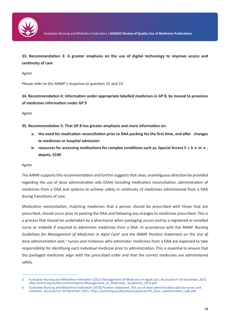

**33. Recommendation 3: A greater emphasis on the use of digital technology to improve access and continuity of care**

Agree

Please refer to the ANMF's response to question 15 and 22.

**34. Recommendation 4: Information under appropriate labelled medicines in GP 8, be moved to provision of medicines information under GP 9**

Agree

**35. Recommendation 5: That GP 8 has greater emphasis and more information on:**

- **a. the need for medication reconciliation prior to DAA packing for the first time, and after changes to medicines or hospital admission**
- **b. resources for accessing medications for complex conditions such as, Special Access S c h e m e , depots, S100**

### Agree

The ANMF supports this recommendation and further suggests that clear, unambiguous direction be provided regarding the use of dose administration aids (DAA) including medication reconciliation, administration of medicines from a DAA and systems to achieve safety in continuity of medicines administered from a DAA during transitions of care.

Medication reconciliation, matching medicines that a person should be prescribed with those that are prescribed, should occur prior to packing the DAA and following any changes to medicines prescribed. This is a process that should be undertaken by a pharmacist when packaging occurs and by a registered or enrolled nurse or midwife if required to administer medicines from a DAA. In accordance with the ANMF *Nursing Guidelines for Management of Medicines in Aged Care*<sup>3</sup> and the ANMF Position Statement on the *Use of*  dose administration aids,<sup>4</sup> nurses and midwives who administer medicines from a DAA are expected to take responsibility for identifying each individual medicine prior to administration. This is essential to ensure that the packaged medicines align with the prescribed order and that the correct medicines are administered safely.

<sup>3.</sup> Australian Nursing and Midwifery Federation (2012) Management of Medicines in Aged Care. Accessed on 10 December, 2021: http://anmf.org.au/documents/reports/Management\_of\_Medicines\_ Guidelines\_2013.pdf

<sup>4.</sup> Australian Nursing and Midwifery Federation (2018) Position statement: The use of dose administration aids by nurses and midwives. Accessed on 10 December 2021: https://anmf.org.au/documents/policies/PS\_Dose\_administration\_aids.pdf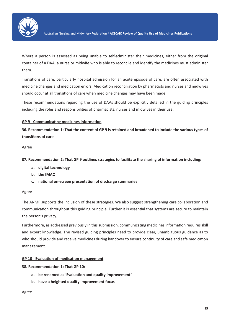

Where a person is assessed as being unable to self-administer their medicines, either from the original container of a DAA, a nurse or midwife who is able to reconcile and identify the medicines must administer them.

Transitions of care, particularly hospital admission for an acute episode of care, are often associated with medicine changes and medication errors. Medication reconciliation by pharmacists and nurses and midwives should occur at all transitions of care when medicine changes may have been made.

These recommendations regarding the use of DAAs should be explicitly detailed in the guiding principles including the roles and responsibilities of pharmacists, nurses and midwives in their use.

## **GP 9 - Communicating medicines information**

**36. Recommendation 1: That the content of GP 9 is retained and broadened to include the various types of transitions of care**

Agree

### **37. Recommendation 2: That GP 9 outlines strategies to facilitate the sharing of information including:**

- **a. digital technology**
- **b. the IMAC**
- **c. national on-screen presentation of discharge summaries**

### Agree

The ANMF supports the inclusion of these strategies. We also suggest strengthening care collaboration and communication throughout this guiding principle. Further it is essential that systems are secure to maintain the person's privacy.

Furthermore, as addressed previously in this submission, communicating medicines information requires skill and expert knowledge. The revised guiding principles need to provide clear, unambiguous guidance as to who should provide and receive medicines during handover to ensure continuity of care and safe medication management.

#### **GP 10 - Evaluation of medication management**

### **38. Recommendation 1: That GP 10:**

- **a. be renamed as 'Evaluation and quality improvement'**
- **b. have a heighted quality improvement focus**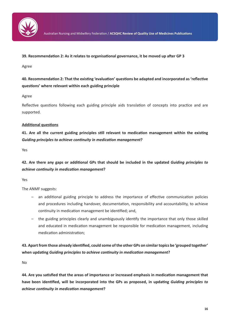

**39. Recommendation 2: As it relates to organisational governance, it be moved up after GP 3**

Agree

**40. Recommendation 2: That the existing 'evaluation' questions be adapted and incorporated as 'reflective questions' where relevant within each guiding principle**

Agree

Reflective questions following each guiding principle aids translation of concepts into practice and are supported.

### **Additional questions**

**41. Are all the current guiding principles still relevant to medication management within the existing**  *Guiding principles to achieve continuity in medication management***?**

Yes

**42. Are there any gaps or additional GPs that should be included in the updated** *Guiding principles to achieve continuity in medication management***?**

Yes

The ANMF suggests:

- an additional guiding principle to address the importance of effective communication policies and procedures including handover, documentation, responsibility and accountability, to achieve continuity in medication management be identified; and,
- the guiding principles clearly and unambiguously identify the importance that only those skilled and educated in medication management be responsible for medication management, including medication administration;

**43. Apart from those already identified, could some of the other GPs on similar topics be 'grouped together' when updating** *Guiding principles to achieve continuity in medication management***?**

No

**44. Are you satisfied that the areas of importance or increased emphasis in medication management that have been identified, will be incorporated into the GPs as proposed, in updating** *Guiding principles to achieve continuity in medication management***?**